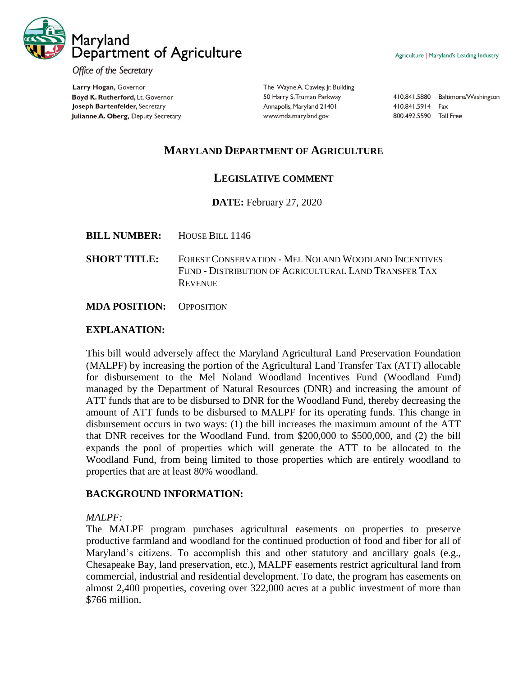

Office of the Secretary

Larry Hogan, Governor Boyd K. Rutherford, Lt. Governor Joseph Bartenfelder, Secretary Julianne A. Oberg, Deputy Secretary

The Wayne A. Cawley, Jr. Building 50 Harry S. Truman Parkway Annapolis, Maryland 21401 www.mda.maryland.gov

410.841.5880 Baltimore/Washington 410.841.5914 Fax 800.492.5590 Toll Free

# **MARYLAND DEPARTMENT OF AGRICULTURE**

### **LEGISLATIVE COMMENT**

**DATE:** February 27, 2020

- **BILL NUMBER:** HOUSE BILL 1146
- **SHORT TITLE:** FOREST CONSERVATION MEL NOLAND WOODLAND INCENTIVES FUND - DISTRIBUTION OF AGRICULTURAL LAND TRANSFER TAX **REVENUE**

**MDA POSITION:** OPPOSITION

#### **EXPLANATION:**

This bill would adversely affect the Maryland Agricultural Land Preservation Foundation (MALPF) by increasing the portion of the Agricultural Land Transfer Tax (ATT) allocable for disbursement to the Mel Noland Woodland Incentives Fund (Woodland Fund) managed by the Department of Natural Resources (DNR) and increasing the amount of ATT funds that are to be disbursed to DNR for the Woodland Fund, thereby decreasing the amount of ATT funds to be disbursed to MALPF for its operating funds. This change in disbursement occurs in two ways: (1) the bill increases the maximum amount of the ATT that DNR receives for the Woodland Fund, from \$200,000 to \$500,000, and (2) the bill expands the pool of properties which will generate the ATT to be allocated to the Woodland Fund, from being limited to those properties which are entirely woodland to properties that are at least 80% woodland.

#### **BACKGROUND INFORMATION:**

### *MALPF:*

The MALPF program purchases agricultural easements on properties to preserve productive farmland and woodland for the continued production of food and fiber for all of Maryland's citizens. To accomplish this and other statutory and ancillary goals (e.g., Chesapeake Bay, land preservation, etc.), MALPF easements restrict agricultural land from commercial, industrial and residential development. To date, the program has easements on almost 2,400 properties, covering over 322,000 acres at a public investment of more than \$766 million.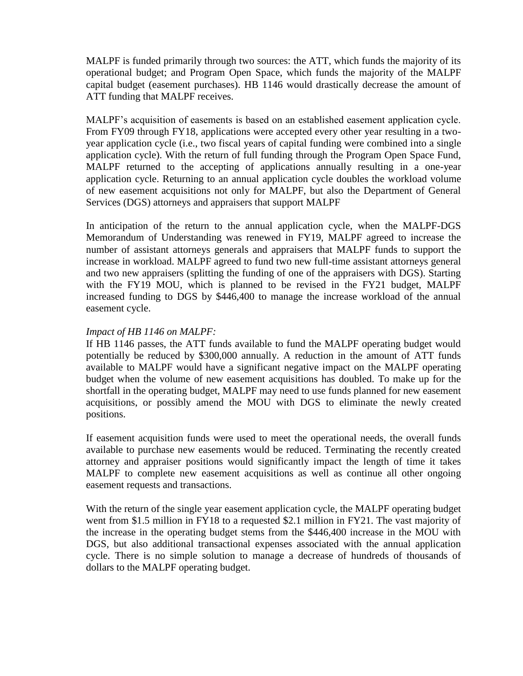MALPF is funded primarily through two sources: the ATT, which funds the majority of its operational budget; and Program Open Space, which funds the majority of the MALPF capital budget (easement purchases). HB 1146 would drastically decrease the amount of ATT funding that MALPF receives.

MALPF's acquisition of easements is based on an established easement application cycle. From FY09 through FY18, applications were accepted every other year resulting in a twoyear application cycle (i.e., two fiscal years of capital funding were combined into a single application cycle). With the return of full funding through the Program Open Space Fund, MALPF returned to the accepting of applications annually resulting in a one-year application cycle. Returning to an annual application cycle doubles the workload volume of new easement acquisitions not only for MALPF, but also the Department of General Services (DGS) attorneys and appraisers that support MALPF

In anticipation of the return to the annual application cycle, when the MALPF-DGS Memorandum of Understanding was renewed in FY19, MALPF agreed to increase the number of assistant attorneys generals and appraisers that MALPF funds to support the increase in workload. MALPF agreed to fund two new full-time assistant attorneys general and two new appraisers (splitting the funding of one of the appraisers with DGS). Starting with the FY19 MOU, which is planned to be revised in the FY21 budget, MALPF increased funding to DGS by \$446,400 to manage the increase workload of the annual easement cycle.

### *Impact of HB 1146 on MALPF:*

If HB 1146 passes, the ATT funds available to fund the MALPF operating budget would potentially be reduced by \$300,000 annually. A reduction in the amount of ATT funds available to MALPF would have a significant negative impact on the MALPF operating budget when the volume of new easement acquisitions has doubled. To make up for the shortfall in the operating budget, MALPF may need to use funds planned for new easement acquisitions, or possibly amend the MOU with DGS to eliminate the newly created positions.

If easement acquisition funds were used to meet the operational needs, the overall funds available to purchase new easements would be reduced. Terminating the recently created attorney and appraiser positions would significantly impact the length of time it takes MALPF to complete new easement acquisitions as well as continue all other ongoing easement requests and transactions.

With the return of the single year easement application cycle, the MALPF operating budget went from \$1.5 million in FY18 to a requested \$2.1 million in FY21. The vast majority of the increase in the operating budget stems from the \$446,400 increase in the MOU with DGS, but also additional transactional expenses associated with the annual application cycle. There is no simple solution to manage a decrease of hundreds of thousands of dollars to the MALPF operating budget.